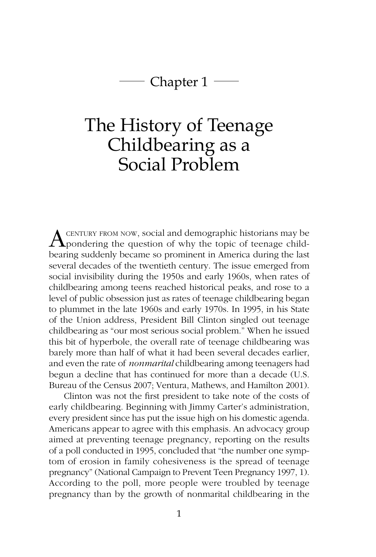# Chapter  $1 \rightleftharpoons$

# The History of Teenage Childbearing as a Social Problem

**A** CENTURY FROM NOW, social and demographic historians may be pondering the question of why the topic of teenage childbearing suddenly became so prominent in America during the last several decades of the twentieth century. The issue emerged from social invisibility during the 1950s and early 1960s, when rates of childbearing among teens reached historical peaks, and rose to a level of public obsession just as rates of teenage childbearing began to plummet in the late 1960s and early 1970s. In 1995, in his State of the Union address, President Bill Clinton singled out teenage childbearing as "our most serious social problem." When he issued this bit of hyperbole, the overall rate of teenage childbearing was barely more than half of what it had been several decades earlier, and even the rate of *nonmarital* childbearing among teenagers had begun a decline that has continued for more than a decade (U.S. Bureau of the Census 2007; Ventura, Mathews, and Hamilton 2001).

Clinton was not the first president to take note of the costs of early childbearing. Beginning with Jimmy Carter's administration, every president since has put the issue high on his domestic agenda. Americans appear to agree with this emphasis. An advocacy group aimed at preventing teenage pregnancy, reporting on the results of a poll conducted in 1995, concluded that "the number one symptom of erosion in family cohesiveness is the spread of teenage pregnancy" (National Campaign to Prevent Teen Pregnancy 1997, 1). According to the poll, more people were troubled by teenage pregnancy than by the growth of nonmarital childbearing in the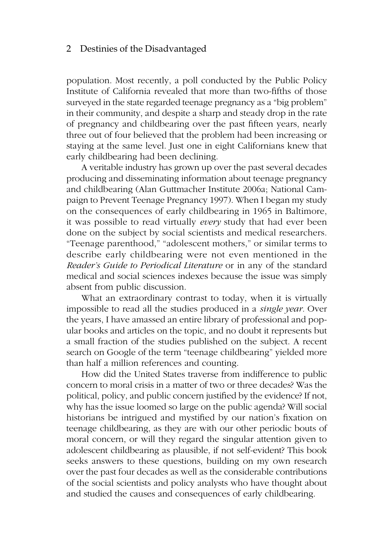population. Most recently, a poll conducted by the Public Policy Institute of California revealed that more than two-fifths of those surveyed in the state regarded teenage pregnancy as a "big problem" in their community, and despite a sharp and steady drop in the rate of pregnancy and childbearing over the past fifteen years, nearly three out of four believed that the problem had been increasing or staying at the same level. Just one in eight Californians knew that early childbearing had been declining.

A veritable industry has grown up over the past several decades producing and disseminating information about teenage pregnancy and childbearing (Alan Guttmacher Institute 2006a; National Campaign to Prevent Teenage Pregnancy 1997). When I began my study on the consequences of early childbearing in 1965 in Baltimore, it was possible to read virtually *every* study that had ever been done on the subject by social scientists and medical researchers. "Teenage parenthood," "adolescent mothers," or similar terms to describe early childbearing were not even mentioned in the *Reader's Guide to Periodical Literature* or in any of the standard medical and social sciences indexes because the issue was simply absent from public discussion.

What an extraordinary contrast to today, when it is virtually impossible to read all the studies produced in a *single year.* Over the years, I have amassed an entire library of professional and popular books and articles on the topic, and no doubt it represents but a small fraction of the studies published on the subject. A recent search on Google of the term "teenage childbearing" yielded more than half a million references and counting.

How did the United States traverse from indifference to public concern to moral crisis in a matter of two or three decades? Was the political, policy, and public concern justified by the evidence? If not, why has the issue loomed so large on the public agenda? Will social historians be intrigued and mystified by our nation's fixation on teenage childbearing, as they are with our other periodic bouts of moral concern, or will they regard the singular attention given to adolescent childbearing as plausible, if not self-evident? This book seeks answers to these questions, building on my own research over the past four decades as well as the considerable contributions of the social scientists and policy analysts who have thought about and studied the causes and consequences of early childbearing.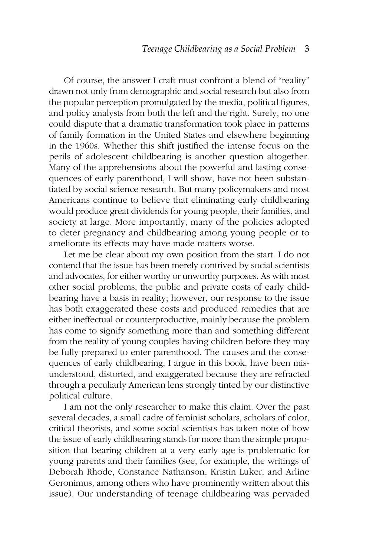Of course, the answer I craft must confront a blend of "reality" drawn not only from demographic and social research but also from the popular perception promulgated by the media, political figures, and policy analysts from both the left and the right. Surely, no one could dispute that a dramatic transformation took place in patterns of family formation in the United States and elsewhere beginning in the 1960s. Whether this shift justified the intense focus on the perils of adolescent childbearing is another question altogether. Many of the apprehensions about the powerful and lasting consequences of early parenthood, I will show, have not been substantiated by social science research. But many policymakers and most Americans continue to believe that eliminating early childbearing would produce great dividends for young people, their families, and society at large. More importantly, many of the policies adopted to deter pregnancy and childbearing among young people or to ameliorate its effects may have made matters worse.

Let me be clear about my own position from the start. I do not contend that the issue has been merely contrived by social scientists and advocates, for either worthy or unworthy purposes. As with most other social problems, the public and private costs of early childbearing have a basis in reality; however, our response to the issue has both exaggerated these costs and produced remedies that are either ineffectual or counterproductive, mainly because the problem has come to signify something more than and something different from the reality of young couples having children before they may be fully prepared to enter parenthood. The causes and the consequences of early childbearing, I argue in this book, have been misunderstood, distorted, and exaggerated because they are refracted through a peculiarly American lens strongly tinted by our distinctive political culture.

I am not the only researcher to make this claim. Over the past several decades, a small cadre of feminist scholars, scholars of color, critical theorists, and some social scientists has taken note of how the issue of early childbearing stands for more than the simple proposition that bearing children at a very early age is problematic for young parents and their families (see, for example, the writings of Deborah Rhode, Constance Nathanson, Kristin Luker, and Arline Geronimus, among others who have prominently written about this issue). Our understanding of teenage childbearing was pervaded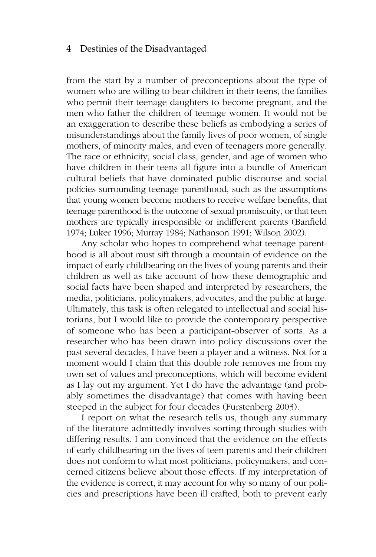from the start by a number of preconceptions about the type of women who are willing to bear children in their teens, the families who permit their teenage daughters to become pregnant, and the men who father the children of teenage women. It would not be an exaggeration to describe these beliefs as embodying a series of misunderstandings about the family lives of poor women, of single mothers, of minority males, and even of teenagers more generally. The race or ethnicity, social class, gender, and age of women who have children in their teens all figure into a bundle of American cultural beliefs that have dominated public discourse and social policies surrounding teenage parenthood, such as the assumptions that young women become mothers to receive welfare benefits, that teenage parenthood is the outcome of sexual promiscuity, or that teen mothers are typically irresponsible or indifferent parents (Banfield 1974; Luker 1996; Murray 1984; Nathanson 1991; Wilson 2002).

Any scholar who hopes to comprehend what teenage parenthood is all about must sift through a mountain of evidence on the impact of early childbearing on the lives of young parents and their children as well as take account of how these demographic and social facts have been shaped and interpreted by researchers, the media, politicians, policymakers, advocates, and the public at large. Ultimately, this task is often relegated to intellectual and social historians, but I would like to provide the contemporary perspective of someone who has been a participant-observer of sorts. As a researcher who has been drawn into policy discussions over the past several decades, I have been a player and a witness. Not for a moment would I claim that this double role removes me from my own set of values and preconceptions, which will become evident as I lay out my argument. Yet I do have the advantage (and probably sometimes the disadvantage) that comes with having been steeped in the subject for four decades (Furstenberg 2003).

I report on what the research tells us, though any summary of the literature admittedly involves sorting through studies with differing results. I am convinced that the evidence on the effects of early childbearing on the lives of teen parents and their children does not conform to what most politicians, policymakers, and concerned citizens believe about those effects. If my interpretation of the evidence is correct, it may account for why so many of our policies and prescriptions have been ill crafted, both to prevent early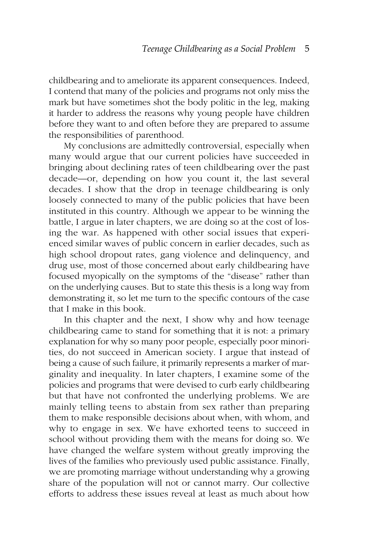childbearing and to ameliorate its apparent consequences. Indeed, I contend that many of the policies and programs not only miss the mark but have sometimes shot the body politic in the leg, making it harder to address the reasons why young people have children before they want to and often before they are prepared to assume the responsibilities of parenthood.

My conclusions are admittedly controversial, especially when many would argue that our current policies have succeeded in bringing about declining rates of teen childbearing over the past decade—or, depending on how you count it, the last several decades. I show that the drop in teenage childbearing is only loosely connected to many of the public policies that have been instituted in this country. Although we appear to be winning the battle, I argue in later chapters, we are doing so at the cost of losing the war. As happened with other social issues that experienced similar waves of public concern in earlier decades, such as high school dropout rates, gang violence and delinquency, and drug use, most of those concerned about early childbearing have focused myopically on the symptoms of the "disease" rather than on the underlying causes. But to state this thesis is a long way from demonstrating it, so let me turn to the specific contours of the case that I make in this book.

In this chapter and the next, I show why and how teenage childbearing came to stand for something that it is not: a primary explanation for why so many poor people, especially poor minorities, do not succeed in American society. I argue that instead of being a cause of such failure, it primarily represents a marker of marginality and inequality. In later chapters, I examine some of the policies and programs that were devised to curb early childbearing but that have not confronted the underlying problems. We are mainly telling teens to abstain from sex rather than preparing them to make responsible decisions about when, with whom, and why to engage in sex. We have exhorted teens to succeed in school without providing them with the means for doing so. We have changed the welfare system without greatly improving the lives of the families who previously used public assistance. Finally, we are promoting marriage without understanding why a growing share of the population will not or cannot marry. Our collective efforts to address these issues reveal at least as much about how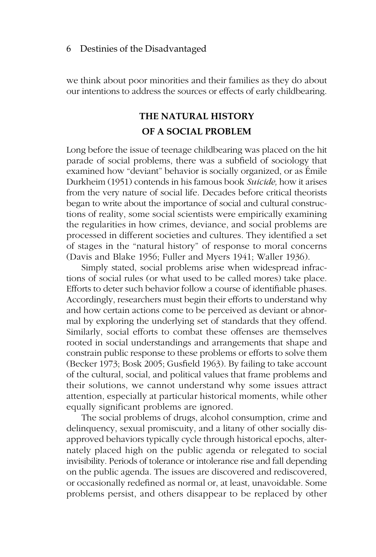we think about poor minorities and their families as they do about our intentions to address the sources or effects of early childbearing.

### **THE NATURAL HISTORY OF A SOCIAL PROBLEM**

Long before the issue of teenage childbearing was placed on the hit parade of social problems, there was a subfield of sociology that examined how "deviant" behavior is socially organized, or as Émile Durkheim (1951) contends in his famous book *Suicide,* how it arises from the very nature of social life. Decades before critical theorists began to write about the importance of social and cultural constructions of reality, some social scientists were empirically examining the regularities in how crimes, deviance, and social problems are processed in different societies and cultures. They identified a set of stages in the "natural history" of response to moral concerns (Davis and Blake 1956; Fuller and Myers 1941; Waller 1936).

Simply stated, social problems arise when widespread infractions of social rules (or what used to be called mores) take place. Efforts to deter such behavior follow a course of identifiable phases. Accordingly, researchers must begin their efforts to understand why and how certain actions come to be perceived as deviant or abnormal by exploring the underlying set of standards that they offend. Similarly, social efforts to combat these offenses are themselves rooted in social understandings and arrangements that shape and constrain public response to these problems or efforts to solve them (Becker 1973; Bosk 2005; Gusfield 1963). By failing to take account of the cultural, social, and political values that frame problems and their solutions, we cannot understand why some issues attract attention, especially at particular historical moments, while other equally significant problems are ignored.

The social problems of drugs, alcohol consumption, crime and delinquency, sexual promiscuity, and a litany of other socially disapproved behaviors typically cycle through historical epochs, alternately placed high on the public agenda or relegated to social invisibility. Periods of tolerance or intolerance rise and fall depending on the public agenda. The issues are discovered and rediscovered, or occasionally redefined as normal or, at least, unavoidable. Some problems persist, and others disappear to be replaced by other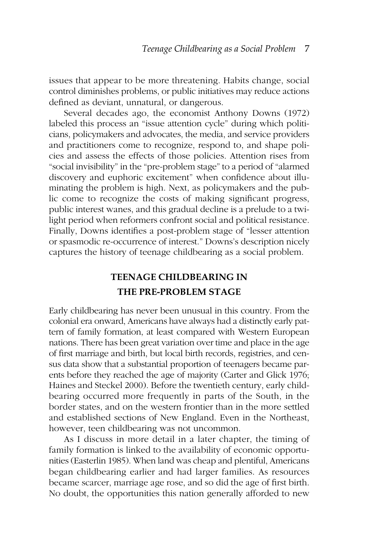issues that appear to be more threatening. Habits change, social control diminishes problems, or public initiatives may reduce actions defined as deviant, unnatural, or dangerous.

Several decades ago, the economist Anthony Downs (1972) labeled this process an "issue attention cycle" during which politicians, policymakers and advocates, the media, and service providers and practitioners come to recognize, respond to, and shape policies and assess the effects of those policies. Attention rises from "social invisibility" in the "pre-problem stage" to a period of "alarmed discovery and euphoric excitement" when confidence about illuminating the problem is high. Next, as policymakers and the public come to recognize the costs of making significant progress, public interest wanes, and this gradual decline is a prelude to a twilight period when reformers confront social and political resistance. Finally, Downs identifies a post-problem stage of "lesser attention or spasmodic re-occurrence of interest." Downs's description nicely captures the history of teenage childbearing as a social problem.

### **TEENAGE CHILDBEARING IN THE PRE-PROBLEM STAGE**

Early childbearing has never been unusual in this country. From the colonial era onward, Americans have always had a distinctly early pattern of family formation, at least compared with Western European nations. There has been great variation over time and place in the age of first marriage and birth, but local birth records, registries, and census data show that a substantial proportion of teenagers became parents before they reached the age of majority (Carter and Glick 1976; Haines and Steckel 2000). Before the twentieth century, early childbearing occurred more frequently in parts of the South, in the border states, and on the western frontier than in the more settled and established sections of New England. Even in the Northeast, however, teen childbearing was not uncommon.

As I discuss in more detail in a later chapter, the timing of family formation is linked to the availability of economic opportunities (Easterlin 1985). When land was cheap and plentiful, Americans began childbearing earlier and had larger families. As resources became scarcer, marriage age rose, and so did the age of first birth. No doubt, the opportunities this nation generally afforded to new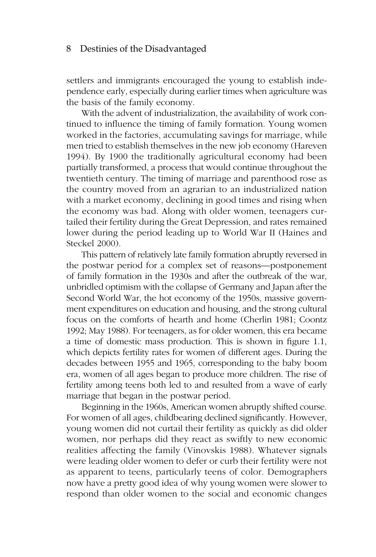settlers and immigrants encouraged the young to establish independence early, especially during earlier times when agriculture was the basis of the family economy.

With the advent of industrialization, the availability of work continued to influence the timing of family formation. Young women worked in the factories, accumulating savings for marriage, while men tried to establish themselves in the new job economy (Hareven 1994). By 1900 the traditionally agricultural economy had been partially transformed, a process that would continue throughout the twentieth century. The timing of marriage and parenthood rose as the country moved from an agrarian to an industrialized nation with a market economy, declining in good times and rising when the economy was bad. Along with older women, teenagers curtailed their fertility during the Great Depression, and rates remained lower during the period leading up to World War II (Haines and Steckel 2000).

This pattern of relatively late family formation abruptly reversed in the postwar period for a complex set of reasons—postponement of family formation in the 1930s and after the outbreak of the war, unbridled optimism with the collapse of Germany and Japan after the Second World War, the hot economy of the 1950s, massive government expenditures on education and housing, and the strong cultural focus on the comforts of hearth and home (Cherlin 1981; Coontz 1992; May 1988). For teenagers, as for older women, this era became a time of domestic mass production. This is shown in figure 1.1, which depicts fertility rates for women of different ages. During the decades between 1955 and 1965, corresponding to the baby boom era, women of all ages began to produce more children. The rise of fertility among teens both led to and resulted from a wave of early marriage that began in the postwar period.

Beginning in the 1960s, American women abruptly shifted course. For women of all ages, childbearing declined significantly. However, young women did not curtail their fertility as quickly as did older women, nor perhaps did they react as swiftly to new economic realities affecting the family (Vinovskis 1988). Whatever signals were leading older women to defer or curb their fertility were not as apparent to teens, particularly teens of color. Demographers now have a pretty good idea of why young women were slower to respond than older women to the social and economic changes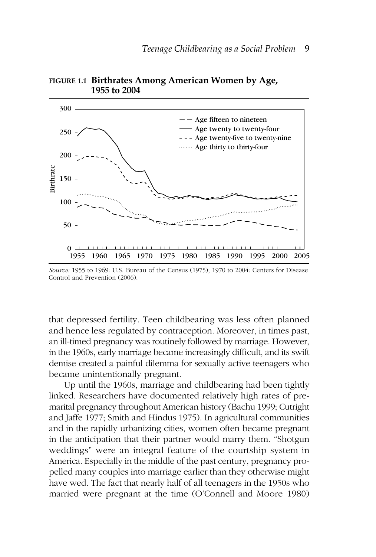



that depressed fertility. Teen childbearing was less often planned and hence less regulated by contraception. Moreover, in times past, an ill-timed pregnancy was routinely followed by marriage. However, in the 1960s, early marriage became increasingly difficult, and its swift demise created a painful dilemma for sexually active teenagers who became unintentionally pregnant.

Up until the 1960s, marriage and childbearing had been tightly linked. Researchers have documented relatively high rates of premarital pregnancy throughout American history (Bachu 1999; Cutright and Jaffe 1977; Smith and Hindus 1975). In agricultural communities and in the rapidly urbanizing cities, women often became pregnant in the anticipation that their partner would marry them. "Shotgun weddings" were an integral feature of the courtship system in America. Especially in the middle of the past century, pregnancy propelled many couples into marriage earlier than they otherwise might have wed. The fact that nearly half of all teenagers in the 1950s who married were pregnant at the time (O'Connell and Moore 1980)

*Source:* 1955 to 1969: U.S. Bureau of the Census (1975); 1970 to 2004: Centers for Disease Control and Prevention (2006).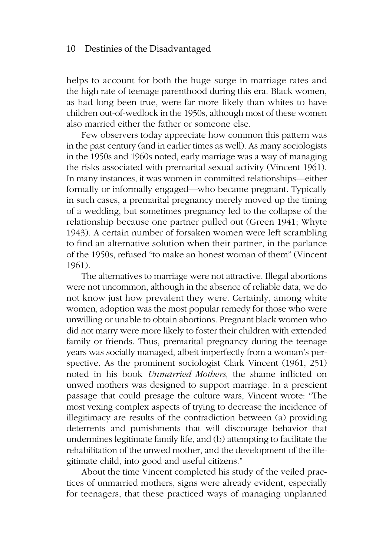helps to account for both the huge surge in marriage rates and the high rate of teenage parenthood during this era. Black women, as had long been true, were far more likely than whites to have children out-of-wedlock in the 1950s, although most of these women also married either the father or someone else.

Few observers today appreciate how common this pattern was in the past century (and in earlier times as well). As many sociologists in the 1950s and 1960s noted, early marriage was a way of managing the risks associated with premarital sexual activity (Vincent 1961). In many instances, it was women in committed relationships—either formally or informally engaged—who became pregnant. Typically in such cases, a premarital pregnancy merely moved up the timing of a wedding, but sometimes pregnancy led to the collapse of the relationship because one partner pulled out (Green 1941; Whyte 1943). A certain number of forsaken women were left scrambling to find an alternative solution when their partner, in the parlance of the 1950s, refused "to make an honest woman of them" (Vincent 1961).

The alternatives to marriage were not attractive. Illegal abortions were not uncommon, although in the absence of reliable data, we do not know just how prevalent they were. Certainly, among white women, adoption was the most popular remedy for those who were unwilling or unable to obtain abortions. Pregnant black women who did not marry were more likely to foster their children with extended family or friends. Thus, premarital pregnancy during the teenage years was socially managed, albeit imperfectly from a woman's perspective. As the prominent sociologist Clark Vincent (1961, 251) noted in his book *Unmarried Mothers,* the shame inflicted on unwed mothers was designed to support marriage. In a prescient passage that could presage the culture wars, Vincent wrote: "The most vexing complex aspects of trying to decrease the incidence of illegitimacy are results of the contradiction between (a) providing deterrents and punishments that will discourage behavior that undermines legitimate family life, and (b) attempting to facilitate the rehabilitation of the unwed mother, and the development of the illegitimate child, into good and useful citizens."

About the time Vincent completed his study of the veiled practices of unmarried mothers, signs were already evident, especially for teenagers, that these practiced ways of managing unplanned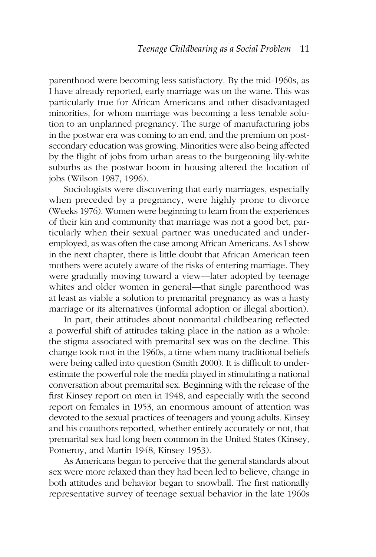parenthood were becoming less satisfactory. By the mid-1960s, as I have already reported, early marriage was on the wane. This was particularly true for African Americans and other disadvantaged minorities, for whom marriage was becoming a less tenable solution to an unplanned pregnancy. The surge of manufacturing jobs in the postwar era was coming to an end, and the premium on postsecondary education was growing. Minorities were also being affected by the flight of jobs from urban areas to the burgeoning lily-white suburbs as the postwar boom in housing altered the location of jobs (Wilson 1987, 1996).

Sociologists were discovering that early marriages, especially when preceded by a pregnancy, were highly prone to divorce (Weeks 1976). Women were beginning to learn from the experiences of their kin and community that marriage was not a good bet, particularly when their sexual partner was uneducated and underemployed, as was often the case among African Americans. As I show in the next chapter, there is little doubt that African American teen mothers were acutely aware of the risks of entering marriage. They were gradually moving toward a view—later adopted by teenage whites and older women in general—that single parenthood was at least as viable a solution to premarital pregnancy as was a hasty marriage or its alternatives (informal adoption or illegal abortion).

In part, their attitudes about nonmarital childbearing reflected a powerful shift of attitudes taking place in the nation as a whole: the stigma associated with premarital sex was on the decline. This change took root in the 1960s, a time when many traditional beliefs were being called into question (Smith 2000). It is difficult to underestimate the powerful role the media played in stimulating a national conversation about premarital sex. Beginning with the release of the first Kinsey report on men in 1948, and especially with the second report on females in 1953, an enormous amount of attention was devoted to the sexual practices of teenagers and young adults. Kinsey and his coauthors reported, whether entirely accurately or not, that premarital sex had long been common in the United States (Kinsey, Pomeroy, and Martin 1948; Kinsey 1953).

As Americans began to perceive that the general standards about sex were more relaxed than they had been led to believe, change in both attitudes and behavior began to snowball. The first nationally representative survey of teenage sexual behavior in the late 1960s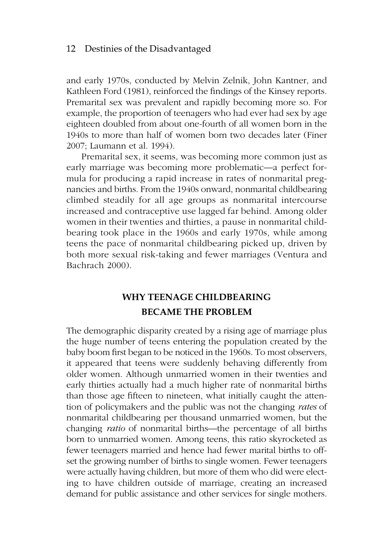and early 1970s, conducted by Melvin Zelnik, John Kantner, and Kathleen Ford (1981), reinforced the findings of the Kinsey reports. Premarital sex was prevalent and rapidly becoming more so. For example, the proportion of teenagers who had ever had sex by age eighteen doubled from about one-fourth of all women born in the 1940s to more than half of women born two decades later (Finer 2007; Laumann et al. 1994).

Premarital sex, it seems, was becoming more common just as early marriage was becoming more problematic—a perfect formula for producing a rapid increase in rates of nonmarital pregnancies and births. From the 1940s onward, nonmarital childbearing climbed steadily for all age groups as nonmarital intercourse increased and contraceptive use lagged far behind. Among older women in their twenties and thirties, a pause in nonmarital childbearing took place in the 1960s and early 1970s, while among teens the pace of nonmarital childbearing picked up, driven by both more sexual risk-taking and fewer marriages (Ventura and Bachrach 2000).

## **WHY TEENAGE CHILDBEARING BECAME THE PROBLEM**

The demographic disparity created by a rising age of marriage plus the huge number of teens entering the population created by the baby boom first began to be noticed in the 1960s. To most observers, it appeared that teens were suddenly behaving differently from older women. Although unmarried women in their twenties and early thirties actually had a much higher rate of nonmarital births than those age fifteen to nineteen, what initially caught the attention of policymakers and the public was not the changing *rates* of nonmarital childbearing per thousand unmarried women, but the changing *ratio* of nonmarital births—the percentage of all births born to unmarried women. Among teens, this ratio skyrocketed as fewer teenagers married and hence had fewer marital births to offset the growing number of births to single women. Fewer teenagers were actually having children, but more of them who did were electing to have children outside of marriage, creating an increased demand for public assistance and other services for single mothers.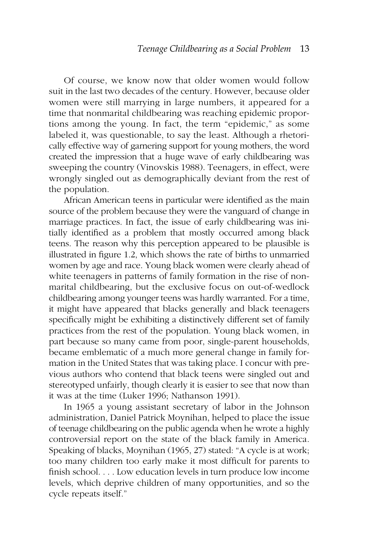Of course, we know now that older women would follow suit in the last two decades of the century. However, because older women were still marrying in large numbers, it appeared for a time that nonmarital childbearing was reaching epidemic proportions among the young. In fact, the term "epidemic," as some labeled it, was questionable, to say the least. Although a rhetorically effective way of garnering support for young mothers, the word created the impression that a huge wave of early childbearing was sweeping the country (Vinovskis 1988). Teenagers, in effect, were wrongly singled out as demographically deviant from the rest of the population.

African American teens in particular were identified as the main source of the problem because they were the vanguard of change in marriage practices. In fact, the issue of early childbearing was initially identified as a problem that mostly occurred among black teens. The reason why this perception appeared to be plausible is illustrated in figure 1.2, which shows the rate of births to unmarried women by age and race. Young black women were clearly ahead of white teenagers in patterns of family formation in the rise of nonmarital childbearing, but the exclusive focus on out-of-wedlock childbearing among younger teens was hardly warranted. For a time, it might have appeared that blacks generally and black teenagers specifically might be exhibiting a distinctively different set of family practices from the rest of the population. Young black women, in part because so many came from poor, single-parent households, became emblematic of a much more general change in family formation in the United States that was taking place. I concur with previous authors who contend that black teens were singled out and stereotyped unfairly, though clearly it is easier to see that now than it was at the time (Luker 1996; Nathanson 1991).

In 1965 a young assistant secretary of labor in the Johnson administration, Daniel Patrick Moynihan, helped to place the issue of teenage childbearing on the public agenda when he wrote a highly controversial report on the state of the black family in America. Speaking of blacks, Moynihan (1965, 27) stated: "A cycle is at work; too many children too early make it most difficult for parents to finish school. . . . Low education levels in turn produce low income levels, which deprive children of many opportunities, and so the cycle repeats itself."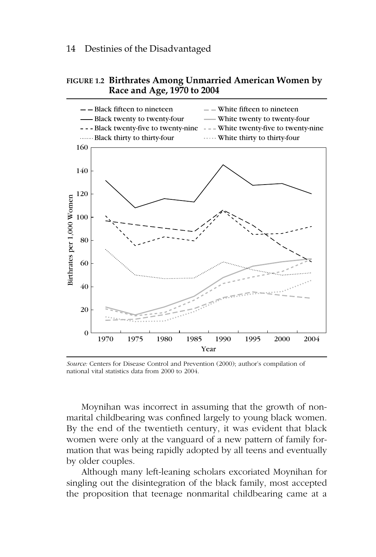### **FIGURE 1.2 Birthrates Among Unmarried American Women by Race and Age, 1970 to 2004**



*Source:* Centers for Disease Control and Prevention (2000); author's compilation of national vital statistics data from 2000 to 2004.

Moynihan was incorrect in assuming that the growth of nonmarital childbearing was confined largely to young black women. By the end of the twentieth century, it was evident that black women were only at the vanguard of a new pattern of family formation that was being rapidly adopted by all teens and eventually by older couples.

Although many left-leaning scholars excoriated Moynihan for singling out the disintegration of the black family, most accepted the proposition that teenage nonmarital childbearing came at a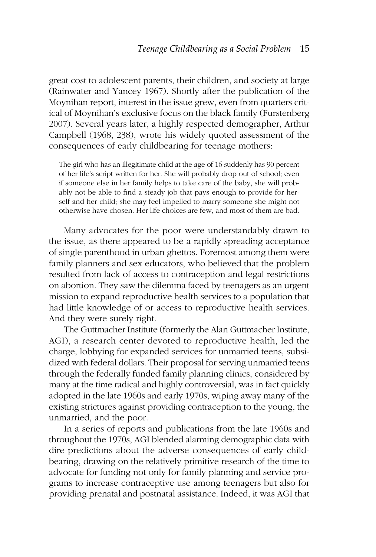great cost to adolescent parents, their children, and society at large (Rainwater and Yancey 1967). Shortly after the publication of the Moynihan report, interest in the issue grew, even from quarters critical of Moynihan's exclusive focus on the black family (Furstenberg 2007). Several years later, a highly respected demographer, Arthur Campbell (1968, 238), wrote his widely quoted assessment of the consequences of early childbearing for teenage mothers:

The girl who has an illegitimate child at the age of 16 suddenly has 90 percent of her life's script written for her. She will probably drop out of school; even if someone else in her family helps to take care of the baby, she will probably not be able to find a steady job that pays enough to provide for herself and her child; she may feel impelled to marry someone she might not otherwise have chosen. Her life choices are few, and most of them are bad.

Many advocates for the poor were understandably drawn to the issue, as there appeared to be a rapidly spreading acceptance of single parenthood in urban ghettos. Foremost among them were family planners and sex educators, who believed that the problem resulted from lack of access to contraception and legal restrictions on abortion. They saw the dilemma faced by teenagers as an urgent mission to expand reproductive health services to a population that had little knowledge of or access to reproductive health services. And they were surely right.

The Guttmacher Institute (formerly the Alan Guttmacher Institute, AGI), a research center devoted to reproductive health, led the charge, lobbying for expanded services for unmarried teens, subsidized with federal dollars. Their proposal for serving unmarried teens through the federally funded family planning clinics, considered by many at the time radical and highly controversial, was in fact quickly adopted in the late 1960s and early 1970s, wiping away many of the existing strictures against providing contraception to the young, the unmarried, and the poor.

In a series of reports and publications from the late 1960s and throughout the 1970s, AGI blended alarming demographic data with dire predictions about the adverse consequences of early childbearing, drawing on the relatively primitive research of the time to advocate for funding not only for family planning and service programs to increase contraceptive use among teenagers but also for providing prenatal and postnatal assistance. Indeed, it was AGI that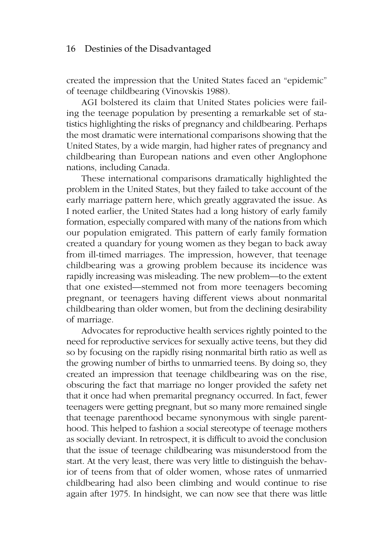created the impression that the United States faced an "epidemic" of teenage childbearing (Vinovskis 1988).

AGI bolstered its claim that United States policies were failing the teenage population by presenting a remarkable set of statistics highlighting the risks of pregnancy and childbearing. Perhaps the most dramatic were international comparisons showing that the United States, by a wide margin, had higher rates of pregnancy and childbearing than European nations and even other Anglophone nations, including Canada.

These international comparisons dramatically highlighted the problem in the United States, but they failed to take account of the early marriage pattern here, which greatly aggravated the issue. As I noted earlier, the United States had a long history of early family formation, especially compared with many of the nations from which our population emigrated. This pattern of early family formation created a quandary for young women as they began to back away from ill-timed marriages. The impression, however, that teenage childbearing was a growing problem because its incidence was rapidly increasing was misleading. The new problem—to the extent that one existed—stemmed not from more teenagers becoming pregnant, or teenagers having different views about nonmarital childbearing than older women, but from the declining desirability of marriage.

Advocates for reproductive health services rightly pointed to the need for reproductive services for sexually active teens, but they did so by focusing on the rapidly rising nonmarital birth ratio as well as the growing number of births to unmarried teens. By doing so, they created an impression that teenage childbearing was on the rise, obscuring the fact that marriage no longer provided the safety net that it once had when premarital pregnancy occurred. In fact, fewer teenagers were getting pregnant, but so many more remained single that teenage parenthood became synonymous with single parenthood. This helped to fashion a social stereotype of teenage mothers as socially deviant. In retrospect, it is difficult to avoid the conclusion that the issue of teenage childbearing was misunderstood from the start. At the very least, there was very little to distinguish the behavior of teens from that of older women, whose rates of unmarried childbearing had also been climbing and would continue to rise again after 1975. In hindsight, we can now see that there was little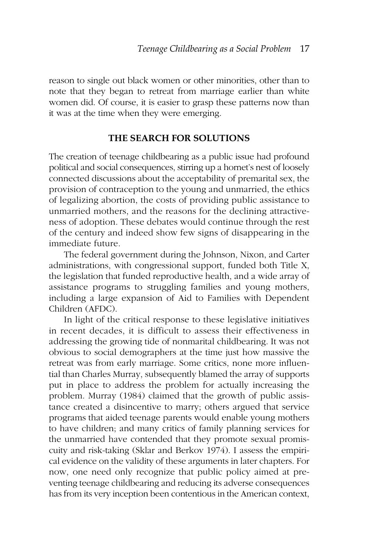reason to single out black women or other minorities, other than to note that they began to retreat from marriage earlier than white women did. Of course, it is easier to grasp these patterns now than it was at the time when they were emerging.

### **THE SEARCH FOR SOLUTIONS**

The creation of teenage childbearing as a public issue had profound political and social consequences, stirring up a hornet's nest of loosely connected discussions about the acceptability of premarital sex, the provision of contraception to the young and unmarried, the ethics of legalizing abortion, the costs of providing public assistance to unmarried mothers, and the reasons for the declining attractiveness of adoption. These debates would continue through the rest of the century and indeed show few signs of disappearing in the immediate future.

The federal government during the Johnson, Nixon, and Carter administrations, with congressional support, funded both Title X, the legislation that funded reproductive health, and a wide array of assistance programs to struggling families and young mothers, including a large expansion of Aid to Families with Dependent Children (AFDC).

In light of the critical response to these legislative initiatives in recent decades, it is difficult to assess their effectiveness in addressing the growing tide of nonmarital childbearing. It was not obvious to social demographers at the time just how massive the retreat was from early marriage. Some critics, none more influential than Charles Murray, subsequently blamed the array of supports put in place to address the problem for actually increasing the problem. Murray (1984) claimed that the growth of public assistance created a disincentive to marry; others argued that service programs that aided teenage parents would enable young mothers to have children; and many critics of family planning services for the unmarried have contended that they promote sexual promiscuity and risk-taking (Sklar and Berkov 1974). I assess the empirical evidence on the validity of these arguments in later chapters. For now, one need only recognize that public policy aimed at preventing teenage childbearing and reducing its adverse consequences has from its very inception been contentious in the American context,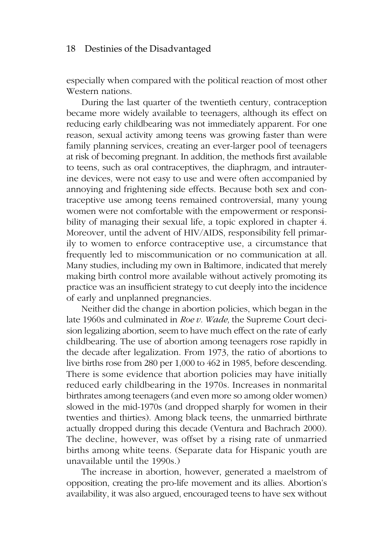especially when compared with the political reaction of most other Western nations.

During the last quarter of the twentieth century, contraception became more widely available to teenagers, although its effect on reducing early childbearing was not immediately apparent. For one reason, sexual activity among teens was growing faster than were family planning services, creating an ever-larger pool of teenagers at risk of becoming pregnant. In addition, the methods first available to teens, such as oral contraceptives, the diaphragm, and intrauterine devices, were not easy to use and were often accompanied by annoying and frightening side effects. Because both sex and contraceptive use among teens remained controversial, many young women were not comfortable with the empowerment or responsibility of managing their sexual life, a topic explored in chapter 4. Moreover, until the advent of HIV/AIDS, responsibility fell primarily to women to enforce contraceptive use, a circumstance that frequently led to miscommunication or no communication at all. Many studies, including my own in Baltimore, indicated that merely making birth control more available without actively promoting its practice was an insufficient strategy to cut deeply into the incidence of early and unplanned pregnancies.

Neither did the change in abortion policies, which began in the late 1960s and culminated in *Roe v. Wade,* the Supreme Court decision legalizing abortion, seem to have much effect on the rate of early childbearing. The use of abortion among teenagers rose rapidly in the decade after legalization. From 1973, the ratio of abortions to live births rose from 280 per 1,000 to 462 in 1985, before descending. There is some evidence that abortion policies may have initially reduced early childbearing in the 1970s. Increases in nonmarital birthrates among teenagers (and even more so among older women) slowed in the mid-1970s (and dropped sharply for women in their twenties and thirties). Among black teens, the unmarried birthrate actually dropped during this decade (Ventura and Bachrach 2000). The decline, however, was offset by a rising rate of unmarried births among white teens. (Separate data for Hispanic youth are unavailable until the 1990s.)

The increase in abortion, however, generated a maelstrom of opposition, creating the pro-life movement and its allies. Abortion's availability, it was also argued, encouraged teens to have sex without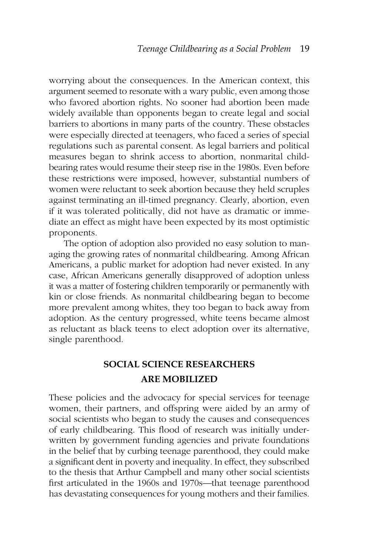worrying about the consequences. In the American context, this argument seemed to resonate with a wary public, even among those who favored abortion rights. No sooner had abortion been made widely available than opponents began to create legal and social barriers to abortions in many parts of the country. These obstacles were especially directed at teenagers, who faced a series of special regulations such as parental consent. As legal barriers and political measures began to shrink access to abortion, nonmarital childbearing rates would resume their steep rise in the 1980s. Even before these restrictions were imposed, however, substantial numbers of women were reluctant to seek abortion because they held scruples against terminating an ill-timed pregnancy. Clearly, abortion, even if it was tolerated politically, did not have as dramatic or immediate an effect as might have been expected by its most optimistic proponents.

The option of adoption also provided no easy solution to managing the growing rates of nonmarital childbearing. Among African Americans, a public market for adoption had never existed. In any case, African Americans generally disapproved of adoption unless it was a matter of fostering children temporarily or permanently with kin or close friends. As nonmarital childbearing began to become more prevalent among whites, they too began to back away from adoption. As the century progressed, white teens became almost as reluctant as black teens to elect adoption over its alternative, single parenthood.

# **SOCIAL SCIENCE RESEARCHERS ARE MOBILIZED**

These policies and the advocacy for special services for teenage women, their partners, and offspring were aided by an army of social scientists who began to study the causes and consequences of early childbearing. This flood of research was initially underwritten by government funding agencies and private foundations in the belief that by curbing teenage parenthood, they could make a significant dent in poverty and inequality. In effect, they subscribed to the thesis that Arthur Campbell and many other social scientists first articulated in the 1960s and 1970s—that teenage parenthood has devastating consequences for young mothers and their families.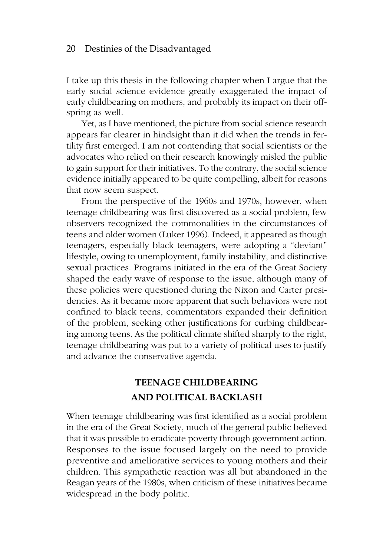I take up this thesis in the following chapter when I argue that the early social science evidence greatly exaggerated the impact of early childbearing on mothers, and probably its impact on their offspring as well.

Yet, as I have mentioned, the picture from social science research appears far clearer in hindsight than it did when the trends in fertility first emerged. I am not contending that social scientists or the advocates who relied on their research knowingly misled the public to gain support for their initiatives. To the contrary, the social science evidence initially appeared to be quite compelling, albeit for reasons that now seem suspect.

From the perspective of the 1960s and 1970s, however, when teenage childbearing was first discovered as a social problem, few observers recognized the commonalities in the circumstances of teens and older women (Luker 1996). Indeed, it appeared as though teenagers, especially black teenagers, were adopting a "deviant" lifestyle, owing to unemployment, family instability, and distinctive sexual practices. Programs initiated in the era of the Great Society shaped the early wave of response to the issue, although many of these policies were questioned during the Nixon and Carter presidencies. As it became more apparent that such behaviors were not confined to black teens, commentators expanded their definition of the problem, seeking other justifications for curbing childbearing among teens. As the political climate shifted sharply to the right, teenage childbearing was put to a variety of political uses to justify and advance the conservative agenda.

### **TEENAGE CHILDBEARING AND POLITICAL BACKLASH**

When teenage childbearing was first identified as a social problem in the era of the Great Society, much of the general public believed that it was possible to eradicate poverty through government action. Responses to the issue focused largely on the need to provide preventive and ameliorative services to young mothers and their children. This sympathetic reaction was all but abandoned in the Reagan years of the 1980s, when criticism of these initiatives became widespread in the body politic.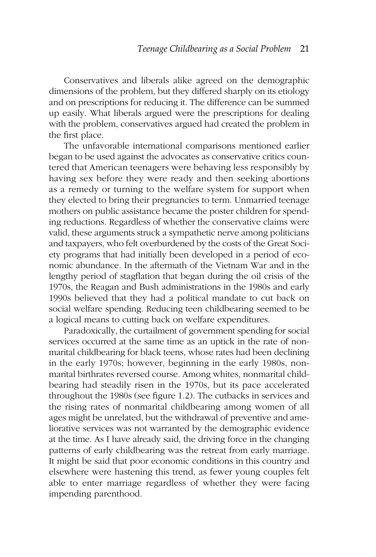Conservatives and liberals alike agreed on the demographic dimensions of the problem, but they differed sharply on its etiology and on prescriptions for reducing it. The difference can be summed up easily. What liberals argued were the prescriptions for dealing with the problem, conservatives argued had created the problem in the first place.

The unfavorable international comparisons mentioned earlier began to be used against the advocates as conservative critics countered that American teenagers were behaving less responsibly by having sex before they were ready and then seeking abortions as a remedy or turning to the welfare system for support when they elected to bring their pregnancies to term. Unmarried teenage mothers on public assistance became the poster children for spending reductions. Regardless of whether the conservative claims were valid, these arguments struck a sympathetic nerve among politicians and taxpayers, who felt overburdened by the costs of the Great Society programs that had initially been developed in a period of economic abundance. In the aftermath of the Vietnam War and in the lengthy period of stagflation that began during the oil crisis of the 1970s, the Reagan and Bush administrations in the 1980s and early 1990s believed that they had a political mandate to cut back on social welfare spending. Reducing teen childbearing seemed to be a logical means to cutting back on welfare expenditures.

Paradoxically, the curtailment of government spending for social services occurred at the same time as an uptick in the rate of nonmarital childbearing for black teens, whose rates had been declining in the early 1970s; however, beginning in the early 1980s, nonmarital birthrates reversed course. Among whites, nonmarital childbearing had steadily risen in the 1970s, but its pace accelerated throughout the 1980s (see figure 1.2). The cutbacks in services and the rising rates of nonmarital childbearing among women of all ages might be unrelated, but the withdrawal of preventive and ameliorative services was not warranted by the demographic evidence at the time. As I have already said, the driving force in the changing patterns of early childbearing was the retreat from early marriage. It might be said that poor economic conditions in this country and elsewhere were hastening this trend, as fewer young couples felt able to enter marriage regardless of whether they were facing impending parenthood.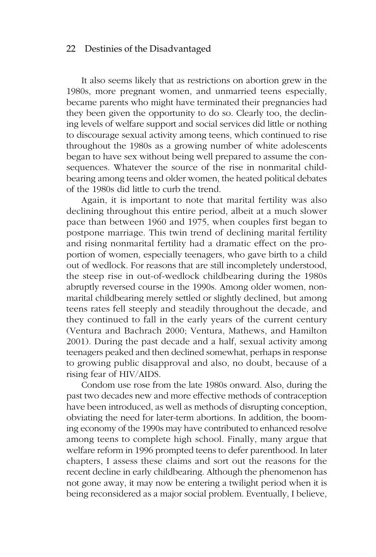It also seems likely that as restrictions on abortion grew in the 1980s, more pregnant women, and unmarried teens especially, became parents who might have terminated their pregnancies had they been given the opportunity to do so. Clearly too, the declining levels of welfare support and social services did little or nothing to discourage sexual activity among teens, which continued to rise throughout the 1980s as a growing number of white adolescents began to have sex without being well prepared to assume the consequences. Whatever the source of the rise in nonmarital childbearing among teens and older women, the heated political debates of the 1980s did little to curb the trend.

Again, it is important to note that marital fertility was also declining throughout this entire period, albeit at a much slower pace than between 1960 and 1975, when couples first began to postpone marriage. This twin trend of declining marital fertility and rising nonmarital fertility had a dramatic effect on the proportion of women, especially teenagers, who gave birth to a child out of wedlock. For reasons that are still incompletely understood, the steep rise in out-of-wedlock childbearing during the 1980s abruptly reversed course in the 1990s. Among older women, nonmarital childbearing merely settled or slightly declined, but among teens rates fell steeply and steadily throughout the decade, and they continued to fall in the early years of the current century (Ventura and Bachrach 2000; Ventura, Mathews, and Hamilton 2001). During the past decade and a half, sexual activity among teenagers peaked and then declined somewhat, perhaps in response to growing public disapproval and also, no doubt, because of a rising fear of HIV/AIDS.

Condom use rose from the late 1980s onward. Also, during the past two decades new and more effective methods of contraception have been introduced, as well as methods of disrupting conception, obviating the need for later-term abortions. In addition, the booming economy of the 1990s may have contributed to enhanced resolve among teens to complete high school. Finally, many argue that welfare reform in 1996 prompted teens to defer parenthood. In later chapters, I assess these claims and sort out the reasons for the recent decline in early childbearing. Although the phenomenon has not gone away, it may now be entering a twilight period when it is being reconsidered as a major social problem. Eventually, I believe,